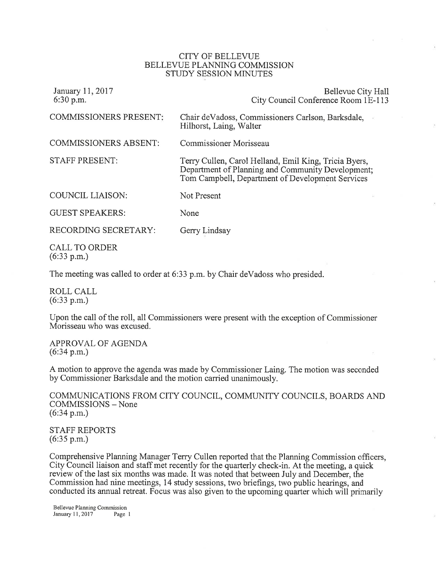## CITY OF BELLEVUE BELLEVUE PLANNING COMMISSION STUDY SESSION MINUTES

| January 11, 2017<br>$6:30$ p.m.     | Bellevue City Hall<br>City Council Conference Room 1E-113                                                                                                      |
|-------------------------------------|----------------------------------------------------------------------------------------------------------------------------------------------------------------|
| <b>COMMISSIONERS PRESENT:</b>       | Chair de Vadoss, Commissioners Carlson, Barksdale,<br>Hilhorst, Laing, Walter                                                                                  |
| <b>COMMISSIONERS ABSENT:</b>        | Commissioner Morisseau                                                                                                                                         |
| <b>STAFF PRESENT:</b>               | Terry Cullen, Carol Helland, Emil King, Tricia Byers,<br>Department of Planning and Community Development;<br>Tom Campbell, Department of Development Services |
| <b>COUNCIL LIAISON:</b>             | Not Present                                                                                                                                                    |
| <b>GUEST SPEAKERS:</b>              | None                                                                                                                                                           |
| RECORDING SECRETARY:                | Gerry Lindsay                                                                                                                                                  |
| <b>CALL TO ORDER</b><br>(6:33 p.m.) |                                                                                                                                                                |

The meeting was called to order at 6:33 p.m. by Chair deVadoss who presided.

ROLL CALL (6:33 p.m.)

Upon the call of the ro11, all Commissioners were present with the exception of Commissioner Morisseau who was excused.

APPROVAL OF AGENDA (6:34 p.m.)

A motion to approve the agenda was made by Commissioner Laing. The motion was seconded by Commissioner Barksdale and the motion carried unanimously.

COMMUNICATIONS FROM CITY COUNCIL, COMMUNITY COUNCILS, BOARDS AND COMMISSIONS - None (6:34 p.m.)

STAFF REPORTS (6:35 p.m.)

Comprehensive Planning Manager Terry Cullen reported that the Planning Commission officers, City Council liaison and staff met recently for the quarterly check-in. At the meeting, a quick review of the last six months was made. It was noted that between July and December, the Commission had nine meetings, 14 study sessions, two briefings, two public hearings, and conducted its annual retreat. Focus was also given to the upcoming quarter which will primarily

Bellevue Planning Comrnission January 11, 2017 Page 1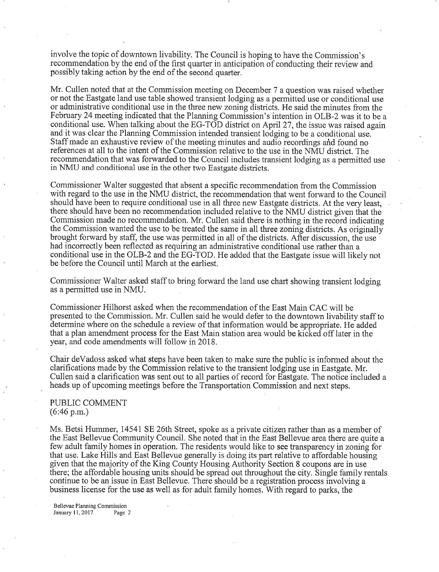involve the topic of downtown livability. The Council is hoping to have the Commission's recommendation by the end of the first quarter in anticipation of conducting their review and possibly taking action by the end of the second quarter.

Mr. Cullen noted that at the Commission meeting on December 7 a question was raised whether or not the Eastgate land use table showed transient lodging as a permitted use or conditional use or administrative conditional use in the three new zoning districts. He said the minutes from the February 24 meeting indicated that the Planning Commission's intention in OLB-2 was it to be a conditional use. When talking about the EG-TOD district on April 27, the issue was raised again and it was clear the Planning Commission intended transient lodging to be a conditional use. Staff made an exhaustive review of the meeting minutes and audio recordings and found no references at all to the intent of the Commission relative to the use in the NMU district. The recommendation that was forwarded to the Council includes transient lodging as a permitted use in NMU and conditional use in the other two Eastgate districts.

Commissioner Walter suggested that absent a specific recommendation from the Commission with regard to the use in the NMU district, the recommendation that went forward to the Council should have been to require conditional use in all three new Eastgate districts. At the very least, there should have been no recommendation included relative to the NMU district given that the Commission made no recommendation. Mr. Cullen said there is nothing in the record indicating the Commission wanted the use to be treated the same in all three zoning districts. As originally brought forward by staff, the use was permitted in all of the districts. After discussion, the use had incorrectly been reflected as requiring an administrative conditional use rather than <sup>a</sup> conditional use in the OLB-2 and the EG-TOD. He added that the Eastgate issue will likely not be before the Council until March at the earliest.

Commissioner Walter asked staff to bring forward the land use chart showing transient lodging as a permitted use in NMU.

Commissioner Hilhorst asked when the recommendation of the East Main CAC will be presented to the Comrhission. Mr. Cullen said he would defer to the downtown livability staff to determine where on the schedule a review of that information would be appropriate. He added that a plan amendment process for the East Main station area would be kicked off later in the year, and code amendments will follow in 2018.

Chair deVadoss asked what steps have been taken to make sure the public is informed about the clarifications made by the Commission relative to the transient lodging use in Eastgate. Mr. Cullen said a clarification was sent out to all parties of record for Eastgate. The notice included <sup>a</sup> heads up of upcoming meetings before the Transportation Commission and next steps.

## PUBLIC COMMENT (6:46 p.m.)

Ms. Betsi Hummer, 14541 SE 26th Street, spoke as a private citizen rather than as a member of the East Bellevue Community Council. She noted that in the East Bellevue area there are quite <sup>a</sup> few adult family homes in operation. The residents would like to see transparency in zoning for that use. Lake Hills and East Bellevue generally is doing its part relative to affordable housing given that the majority of the King County Housing Authority Section 8 coupons are in use there; the affordable housing units should be spread out throughout the city. Single family rentals continue to be an issue in East Bellevue. There should be a registration process involving <sup>a</sup> business license for the use as well as for adult family homes. With regard to parks, the

Bellewe Planning Commission January  $11,2017$  Page 2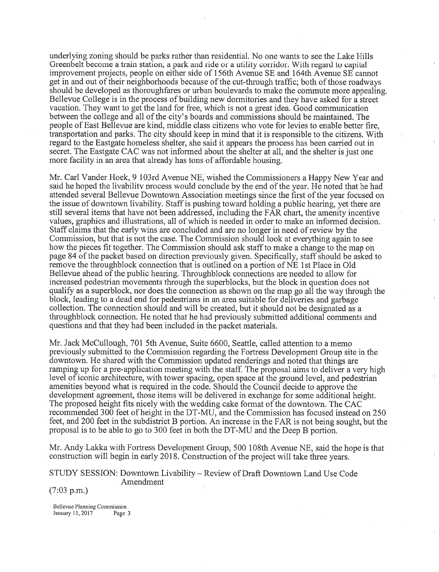underlying zoning should be parks rather than residential. No one wants to see the Lake Hills Greenbelt become a train station, a park and ride or a utility corridor. With regard to capital improvement projects, people on either side of i 56th Avenue SE and I64th Avenue SE cannot get in and out of their neighborhoods because of the cut-through traffic; both of those roadways should be developed as thoroughfares or urban boulevards to make the commute more appealing. Bellevue College is in the process of building new dormitories and they have asked for a street vacation. They want to get the land for free, which is not a great idea. Good communication between the college and all of the city's boards and commissions should be maintained. The people of East Bellevue are kind, middle class citizens who vote for levies to enable better fire, transportation and parks. The city should keep in mind that it is responsible to the citizens. With regard to the Eastgate homeless shelter, she said it appears the process has been carried out in secret. The Eastgate CAC was not informed about the shelter at all, and the shelter is just one more facility in an area that already has tons of affordable housing.

Mr. Carl Vander Hoek, 9 103rd Avenue NE, wished the Commissioners a Happy New Year and said he hoped the livability process would conclude by the end of the year. He noted that he had attended several Bellevue Downtown Association meetings since the first of the year focused on the issue of downtown livability. Staff is pushing toward holding a public hearing, yet there are still several items that have not been addressed, including the FAR chart, the amenity incentive values, graphics and illustrations, all of which is needed in order to make an informed decision. Staff claims that the early wins are concluded and are no longer in need of review by the Commission, but that is not the case. The Commission should look at everything again to see how the pieces fit together. The Commission should ask staff to make a change to the map on page 84 of the packet based on direction previously given. Specifically, staff should be asked to remove the throughblock connection that is outlined on a portion of NE 1st Place in Old Bellevue ahead of the public hearing. Throughblock connections are needed to allow for increased pedestrian movements through the superblocks, but the block in question does not qualify as a superblock, nor does the connection as shown on the map go all the way through the block, leading to a dead end for pedestrians in an area suitable for deliveries and garbage collection. The connection should and will be created, but it should not be designated as <sup>a</sup> throughblock connection. He noted that he had previously submitted additional comments and questions and that they had been included in the packet materials.

Mr. Jack McCullough, 701 5th Avenue, Suite 6600, Seattle, called attention to a memo previously submitted to the Commission regarding the Fortress Development Group site in the downtown. He shared with the Commission updated renderings and noted that things are ramping up for a pre-application meeting with the staff. The proposal aims to deliver a very high level of iconic architecture, with tower spacing, open space at the ground level, and pedestrian amenities beyond what is required in the code. Should the Council decide to approve the development agreement, those items will be delivered in exchange for some additional height. The proposed height fits nicely with the wedding cake format of the downtown. The CAC recommended 300 feet of height in the DT-MU, and the Commission has focused instead on <sup>250</sup> feet, and 200 feet in the subdistrict B portion. An increase in the FAR is not being sought, but the proposal is to be able to go to 300 feet in both the DT-MU and the Deep B portion.

Mr. Andy Lakka with Fortress Development Group, 500 108th Avenue NE, said the hope is that construction will begin in early 2018. Construction of the project will take three years.

STUDY SESSION: Downtown Livability - Review of Draft Downtown Land Use Code Amendment

(7:03 p.m.)

Bellevue Planning Cornmission January 11,2017 Page 3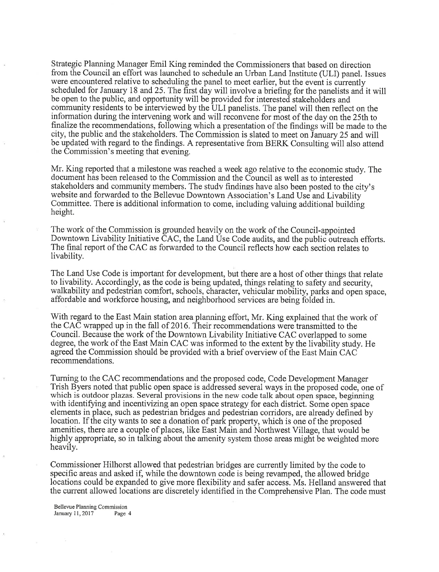Strategic Planning Manager Emil King reminded the Commissioners that based on direction from the Council an effort was launched to schedule an Urban Land Institute (ULI) panel. Issues were encountered relative to scheduling the panel to meet earlier, but the event is currently scheduled for January 18 and 25. The first day will involve a briefing for the panelists and it will be open to the public, and opportunity will be provided for interested stakeholders and community residents to be interviewed by the ULI panelists. The panel will then reflect on the information during the intervening work and will reconvene for most of the day on the 25th to finalize the recommendations, following which a presentation of the findings will be made to the city, the public and the stakeholders. The Commission is slated to meet on January 25 and will be updated with regard to the findings. A representative from BERK Consulting will also attend the Commission's meeting that evening.

Mr. King reported that a milestone was reached a week ago relative to the economic study. The document has been released to the Commission and the Council as well as to interested stakeholders and community members. The study findings have also been posted to the city's website and forwarded to the Bellevue Downtown Association's Land Use and Livability Committee. There is additional information to come, including valuing additional building height.

The work of the Commission is grounded heavily on the work of the Council-appointed Downtown Livability Initiative CAC, the Land Use Code audits, and the public outreach efforts. The final report of the CAC as forwarded to the Council reflects how each section relates to livability.

The Land Use Code is important for development, but there are a host of other things that relate to livability. Accordingly, as the code is being updated, things relating to safety and security, walkability and pedestrian comfort, schools, character, vehicular mobility, parks and open space, affordable and workforce housing, and neighborhood services are being folded in.

With regard to the East Main station area planning effort, Mr. King explained that the work of the CAC wrapped up in the fall of 2016. Their recommendations were transmitted to the Council. Because the work of the Downtown Livability Initiative CAC overlapped to some degree, the work of the East Main CAC was informed to the extent by the livability study. He agreed the Commission should be provided with a brief overview of the East Main CAC recommendations.

Tuming to the CAC recommendations and the proposed code, Code Development Manager Trish Byers noted that public open space is addressed several ways in the proposed code, one of which is outdoor plazas. Several provisions in the new code talk about open space, beginning with identifying and incentivizing an open space strategy for each district. Some open space elements in place, such as pedestrian bridges and pedestrian corridors, are already defined by location. If the city wants to see a donation of park property, which is one of the proposed amenities, there are a couple of places, like East Main and Northwest Village, that would be highly appropriate, so in talking about the amenity system those areas might be weighted more heavily.

Commissioner Hilhorst allowed that pedestrian bridges are currently limited by the code to specific areas and asked if, while the downtown code is being revamped, the allowed bridge locations could be expanded to give more flexibility and safer access. Ms. Helland answered that the current allowed locations are discretely identified in the Comprehensive Plan. The code must

Bellevue Planning Commission January 11,2017 Page 4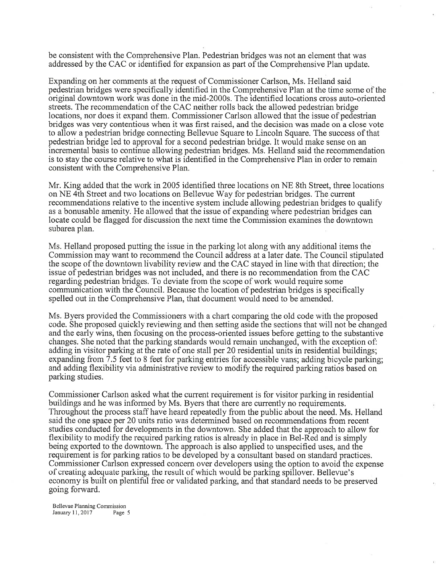be consistent with the Comprehensive Plan. Pedestrian bridges was not an element that was addressed by the CAC or identified for expansion as part of the Comprehensive Plan update.

Expanding on her comments at the request of Commissioner Carlson, Ms. Helland said pedestrian bridges were specifically identified in the Comprehensive Plan at the time some of the original downtown work was done in the mid-2000s. The identified locations cross auto-oriented streets. The recommendation of the CAC neither rolls back the allowed pedestrian bridge locations, nor does it expand them. Commissioner Carlson allowed that the issue of pedestrian bridges was very contentious when it was first raised, and the decision was made on a close vote to allow a pedestrian bridge connecting Bellevue Square to Lincoln Square. The success of that pedestrian bridge led to approval for a second pedestrian bridge. It would make sense on an incremental basis to continue allowing pedestrian bridges. Ms. Helland said the recommendation is to stay the course relative to what is identified in the Comprehensive Plan in order to remain consistent with the Comprehensive Plan.

Mr. King added that the work in 2005 identified three locations on NE Sth Street, three locations on NE 4th Street and two locations on Bellevue Way for pedestrian bridges. The current recommendations relative to the incentive system include allowing pedestrian bridges to qualify as a bonusable amenity. He allowed that the issue of expanding where pedestrian bridges can locate could be flagged for discussion the next time the Commission examines the downtown subarea plan.

Ms. Helland proposed putting the issue in the parking lot along with any additional items the Commission may want to recommend the Council address at alater date. The Council stipulated the scope of the downtown livability review and the CAC stayed in line with that direction; the issue of pedestrian bridges was not included, and there is no recommendation from the CAC regarding pedestrian bridges. To deviate from the scope of work would require some communication with the Council. Because the location of pedestrian bridges is specifically spelled out in the Comprehensive Plan, that document would need to be amended.

Ms. Byers provided the Commissioners with a chart comparing the old code with the proposed code. She proposed quickly reviewing and then setting aside the sections that will not be changed and the early wins, then focusing on the process-oriented issues before getting to the substantive changes. She noted that the parking standards would remain unchanged, with the exception of: adding in visitor parking at the rate of one stall per 20 residential units in residential buildings; expanding from 7.5 feet to 8 feet for parking entries for accessible vans; adding bicycle parking; and adding flexibility via administrative review to modify the required parking ratios based on parking studies.

Commissioner Carlson asked what the current requirement is for visitor parking in residential buildings and he was informed by Ms. Byers that there are currently no requirements. Throughout the process staff have heard repeatedly from the public about the need. Ms, Helland said the one space per 20 units ratio was determined based on recommendations from recent studies conducted for developments in the downtown. She added that the approach to allow for flexibility to modify the required parking ratios is already in place in Bel-Red and is simply being exported to the downtown. The approach is also applied to unspecified uses, and the requirement is for parking ratios to be developed by a consultant based on standard practices. Commissioner Carlson expressed concern over developers using the option to avoid the expense of creating adequate parking, the result of which would be parking spillover. Bellevue's economy is built on plentiful free or validated parking, and that standard needs to be preserved going forward.

Bellevue Planning Commission January 11, 2017 Page 5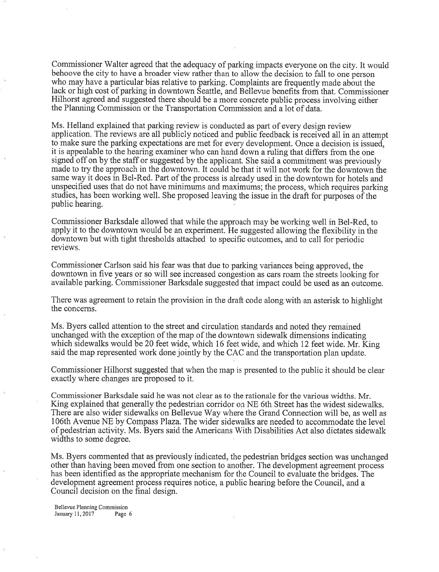Commissioner Walter agreed that the adequacy of parking impacts everyone on the city. It would behoove the city to have a broader view rather than to allow the decision to fall to one person who may have a particular bias relative to parking. Complaints are frequently made about the lack or high cost of parking in downtown Seattle, and Bellevue benefits from that. Commissioner Hilhorst agreed and suggested there should be a more concrete public process involving either the Planning Commission or the Transportation Commission and a lot of data.

Ms. Helland explained that parking review is conducted as part of every design review application. The reviews are all publicly noticed and public feedback is received all in an attempt to make sure the parking expectations are met for every development. Once a decision is issued, it is appealable to the hearing examiner who can hand down a ruling that differs from the one signed off on by the staff or suggested by the applicant. She said a commitment was previously made to try the approach in the downtown. It could be that it will not work for the downtown ihe same way it does in Bel-Red. Part of the process is already used in the downtown for hotels and unspecified uses that do not have minimums and maximums; the process, which requires parking studies, has been working well. She proposed leaving the issue in the draft for purposes of the public hearing.

Commissioner Barksdale allowed that while the approach may be working well in Bel-Red, to apply it to the downtown would be an experiment. He suggested allowing the flexibility in the downtown but with tight thresholds attached to specific outcomes, and to call for periodic reviews.

Commissioner Carlson said his fear was that due to parking variances being approved, the downtown in five years or so will see increased congestion as cars roam the streets looking for available parking. Commissioner Barksdale suggested that impact could be used as an outcome.

There was agreement to retain the provision in the draft code along with an asterisk to highlight the concerns.

Ms. Byers called attention to the street and circulation standards and noted they remained unchanged with the exception of the map of the downtown sidewalk dimensions indicating which sidewalks would be 20 feet wide, which 16 feet wide, and which 12 feet wide. Mr. King said the map represented work done jointly by the CAC and the transportation plan update

Commissioner Hilhorst suggested that when the map is presented to the public it should be clear exactly where changes are proposed to it.

Commissioner Barksdale said he was not clear as to the rationale for the various widths. Mr. King explained that generally the pedestrian corridor on NE 6th Street has the widest sidewalks. There are also wider sidewalks on Bellevue Way where the Grand Connection will be, as well as 106th Avenue NE by Compass Plaza. The wider sidewalks are needed to accommodate the level of pedestrian activity. Ms. Byers said the Americans With Disabilities Act also dictates sidewalk widths to some degree.

Ms. Byers commented that as previously indicated, the pedestrian bridges section was unchanged other than having been moved from one section to another. The development agreement process has been identified as the appropriate mechanism for the Council to evaluate the bridges. The development agreement process requires notice, a public hearing before the Council, and <sup>a</sup> Council decision on the final design.

Bellevue Planning Commission January 11,2017 Page 6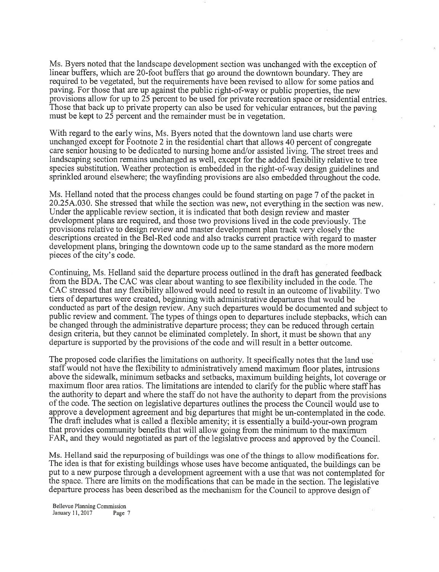Ms. Byers noted that the landscape development section was unchanged with the exception of linear buffers, which are 2O-foot buffers that go around the downtown boundary. They are required to be vegetated, but the requirements have been revised to allow for some patios and paving. For those that are up against the public right-of-way or public properties, the new provisions allow for up to 25 percent to be used for private recreation space or residential entries. Those that back up to private property can also be used for vehicular entrances, but the paving must be kept to 25 percent and the remainder must be in vegetation.

With regard to the early wins, Ms. Byers noted that the downtown land use charts were unchanged except for Footnote 2 in the residential chart that allows 40 percent of congregate care senior housing to be dedicated to nursing home and/or assisted living. The street trees and landscaping section remains unchanged as well, except for the added flexibility relative to tree species substitution. Weather protection is embedded in the right-of-way design guidelines and sprinkled around elsewhere; the wayfinding provisions are also embedded throughout the code.

Ms. Helland noted that the process changes could be found starting on page 7 of the packet in 20.25A.030. She stressed that while the section was new, not everything in the section was new. Under the applicable review section, it is indicated that both design review and master development plans are required, and those two provisions lived in the code previously. The provisions relative to design review and master development plan track very closely the descriptions created in the Bel-Red code and also tracks current practice with regard to master development plans, bringing the downtown code up to the same standard as the more modem pieces of the city's code.

Continuing, Ms. Helland said the departure process outlined in the draft has generated feedback from the BDA. The CAC was clear about wanting to see flexibility included in the code. The CAC stressed that any flexibility allowed would need to result in an outcome of livability. Two tiers of departures were created, beginning with administrative departures that would be conducted as part of the design review. Any such departures would be documented and subject to public review and comment. The types of things open to departures include stepbacks, which can be changed through the administrative departure process; they can be reduced through certain design criteria, but they cannot be eliminated completely. In short, it must be shown that any departure is supported by the provisions of the code and will result in a better outcome.

The proposed code clarifies the limitations on authority. It specifically notes that the land use staff would not have the flexibility to administratively amend maximum floor plates, intrusions above the sidewalk, minimum setbacks and setbacks, maximum building heights, lot coverage or maximum floor area ratios. The limitations are intended to clarify for the public where staff has the authority to depart and where the staff do not have the authority to depart from the provisions of the code. The section on legislative departures outlines the process the-Council would use to approve a development agreement and big departures that might be un-contemplated in the code. The draft includes what is called a flexible amenity; it is essentially abuild-your-own program that provides community benefits that will allow going from the minimum to the maximum FAR, and they would negotiated as part of the legislative process and approved by the Council.

Ms. Helland said the repurposing of buildings was one of the things to allow modifications for. The idea is that for existing buildings whose uses have become antiquated, the buildings can be put to a new purpose through a development agreement with a use that was not contemplated for the space. There are limits on the modifications that can be made in the section. The legislative departure process has been described as the mechanism for the Council to approve design of

Bellevue Planning Commission January 11, 2017 Page 7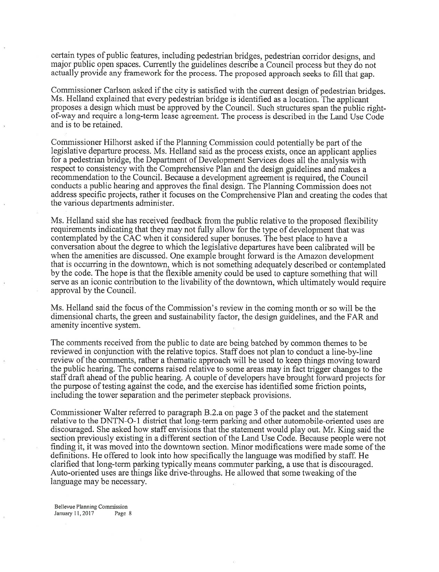certain types of public features, including pedestrian bridges, pedestrian corridor designs, and major public open spaces. Currently the guidelines describe a Council process but they do not actually provide any framework for the process. The proposed approach seeks to fill that gap.

Commissioner Carlson asked if the city is satisfied with the current design of pedestrian bridges. Ms. Helland explained that every pedestrian bridge is identified as a location. The applicant proposes a design which must be approved by the Council. Such structures span the public rightof-way and require a long-term lease agreement. The process is described in the Land Use Code and is to be retained.

Commissioner Hilhorst asked if the Planning Commission could potentially be part of the legislative departure process. Ms. Helland said as the process exists, once an applicant applies for a pedestrian bridge, the Department of Development Services does all the analysis with respect to consistency with the Comprehensive Plan and the design guidelines and makes <sup>a</sup> recommendation to the Council. Because a development agreement is required, the Council conducts a public hearing and approves the final design. The Planning Commission does not address specific projects, rather it focuses on the Comprehensive Plan and creating the codes that the various departments administer.

Ms. Helland said she has received feedback from the public relative to the proposed flexibility requirements indicating that they may not fully allow for the type of development that was contemplated by the CAC when it considered super bonuses. The best place to have <sup>a</sup> conversation about the degree to which the legislative departures have been calibrated will be when the amenities are discussed. One example brought forward is the Amazon development that is occurring in the downtown, which is not something adequately described or contemplated by the code. The hope is that the flexible amenity could be used to capture something that will serve as an iconic contribution to the livability of the downtown, which ultimately would require approval by the Council.

Ms. Helland said the focus of the Commission's review in the coming month or so will be the dimensional charts, the green and sustainability factor, the design guidelines, and the FAR and amenity incentive system.

The comments received from the public to date are being batched by common themes to be reviewed in conjunction with the relative topics. Staff does not plan to conduct a line-by-line review of the comments, rather a thematic approach will be used to keep things moving toward the public hearing. The concems raised relative to some areas may in fact trigger changes to the staff draft ahead of the public hearing. A couple of developers have brought forward projects for the purpose of testing against the code, and the exercise has identified some friction points, including the tower separation and the perimeter stepback provisions.

Commissioner Walter referred to paragraph B.2.a on page 3 of the packet and the statement relative to the DNTN-O-1 district that long-term parking and other automobile-oriented uses are discouraged. She asked how staff envisions that the statement would play out. Mr. King said the section previously existing in a different section of the Land Use Code. Because people were not finding it, it was moved into the downtown section. Minor modifications were made some of the definitions. He offered to look into how specifically the language was modified by staff. He clarified that long-term parking typically means commuter parking, a use that is discouraged. Auto-oriented uses are things like drive-throughs. He allowed that some tweaking of the language may be necessary.

Bellevue Planning Commission January 11, 2017 Page 8